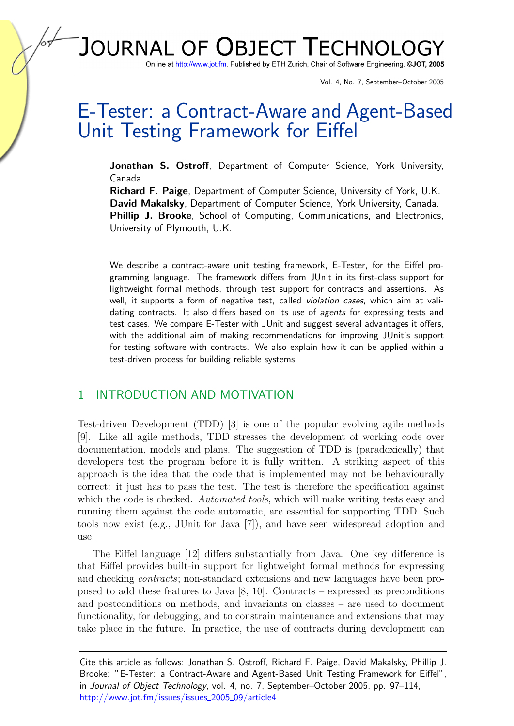**JOURNAL OF OBJECT TECHNOLG** 

Online at http://www.jot.fm. Published by ETH Zurich, Chair of Software Engineering. @JOT, 2005

Vol. 4, No. 7, September–October 2005

# E-Tester: a Contract-Aware and Agent-Based Unit Testing Framework for Eiffel

Jonathan S. Ostroff, Department of Computer Science, York University, Canada.

Richard F. Paige, Department of Computer Science, University of York, U.K. David Makalsky, Department of Computer Science, York University, Canada. Phillip J. Brooke, School of Computing, Communications, and Electronics, University of Plymouth, U.K.

We describe a contract-aware unit testing framework, E-Tester, for the Eiffel programming language. The framework differs from JUnit in its first-class support for lightweight formal methods, through test support for contracts and assertions. As well, it supports a form of negative test, called *violation cases*, which aim at validating contracts. It also differs based on its use of *agents* for expressing tests and test cases. We compare E-Tester with JUnit and suggest several advantages it offers, with the additional aim of making recommendations for improving JUnit's support for testing software with contracts. We also explain how it can be applied within a test-driven process for building reliable systems.

#### 1 INTRODUCTION AND MOTIVATION

Test-driven Development (TDD) [\[3\]](#page-15-0) is one of the popular evolving agile methods [\[9\]](#page-16-0). Like all agile methods, TDD stresses the development of working code over documentation, models and plans. The suggestion of TDD is (paradoxically) that developers test the program before it is fully written. A striking aspect of this approach is the idea that the code that is implemented may not be behaviourally correct: it just has to pass the test. The test is therefore the specification against which the code is checked. Automated tools, which will make writing tests easy and running them against the code automatic, are essential for supporting TDD. Such tools now exist (e.g., JUnit for Java [\[7\]](#page-16-1)), and have seen widespread adoption and use.

The Eiffel language [\[12\]](#page-16-2) differs substantially from Java. One key difference is that Eiffel provides built-in support for lightweight formal methods for expressing and checking contracts; non-standard extensions and new languages have been proposed to add these features to Java [\[8,](#page-16-3) [10\]](#page-16-4). Contracts – expressed as preconditions and postconditions on methods, and invariants on classes – are used to document functionality, for debugging, and to constrain maintenance and extensions that may take place in the future. In practice, the use of contracts during development can

Cite this article as follows: Jonathan S. Ostroff, Richard F. Paige, David Makalsky, Phillip J. Brooke: "E-Tester: a Contract-Aware and Agent-Based Unit Testing Framework for Eiffel", in Journal of Object Technology, vol. 4, no. 7, September–October 2005, pp. 97–114, [http://www.jot.fm/issues/issues](http://www.jot.fm/issues/issue_2005_09/article4)\_2005\_09/article4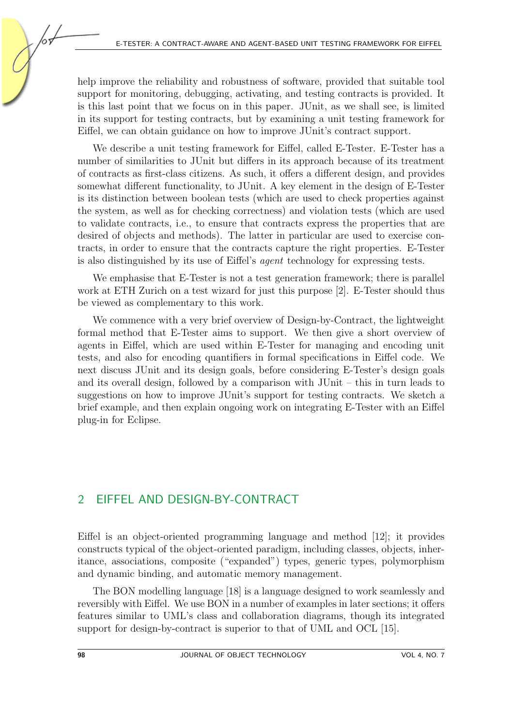help improve the reliability and robustness of software, provided that suitable tool support for monitoring, debugging, activating, and testing contracts is provided. It is this last point that we focus on in this paper. JUnit, as we shall see, is limited in its support for testing contracts, but by examining a unit testing framework for Eiffel, we can obtain guidance on how to improve JUnit's contract support.

We describe a unit testing framework for Eiffel, called E-Tester. E-Tester has a number of similarities to JUnit but differs in its approach because of its treatment of contracts as first-class citizens. As such, it offers a different design, and provides somewhat different functionality, to JUnit. A key element in the design of E-Tester is its distinction between boolean tests (which are used to check properties against the system, as well as for checking correctness) and violation tests (which are used to validate contracts, i.e., to ensure that contracts express the properties that are desired of objects and methods). The latter in particular are used to exercise contracts, in order to ensure that the contracts capture the right properties. E-Tester is also distinguished by its use of Eiffel's agent technology for expressing tests.

We emphasise that E-Tester is not a test generation framework; there is parallel work at ETH Zurich on a test wizard for just this purpose [\[2\]](#page-15-1). E-Tester should thus be viewed as complementary to this work.

We commence with a very brief overview of Design-by-Contract, the lightweight formal method that E-Tester aims to support. We then give a short overview of agents in Eiffel, which are used within E-Tester for managing and encoding unit tests, and also for encoding quantifiers in formal specifications in Eiffel code. We next discuss JUnit and its design goals, before considering E-Tester's design goals and its overall design, followed by a comparison with JUnit – this in turn leads to suggestions on how to improve JUnit's support for testing contracts. We sketch a brief example, and then explain ongoing work on integrating E-Tester with an Eiffel plug-in for Eclipse.

#### 2 EIFFEL AND DESIGN-BY-CONTRACT

Eiffel is an object-oriented programming language and method [\[12\]](#page-16-2); it provides constructs typical of the object-oriented paradigm, including classes, objects, inheritance, associations, composite ("expanded") types, generic types, polymorphism and dynamic binding, and automatic memory management.

The BON modelling language [\[18\]](#page-16-5) is a language designed to work seamlessly and reversibly with Eiffel. We use BON in a number of examples in later sections; it offers features similar to UML's class and collaboration diagrams, though its integrated support for design-by-contract is superior to that of UML and OCL [\[15\]](#page-16-6).

6г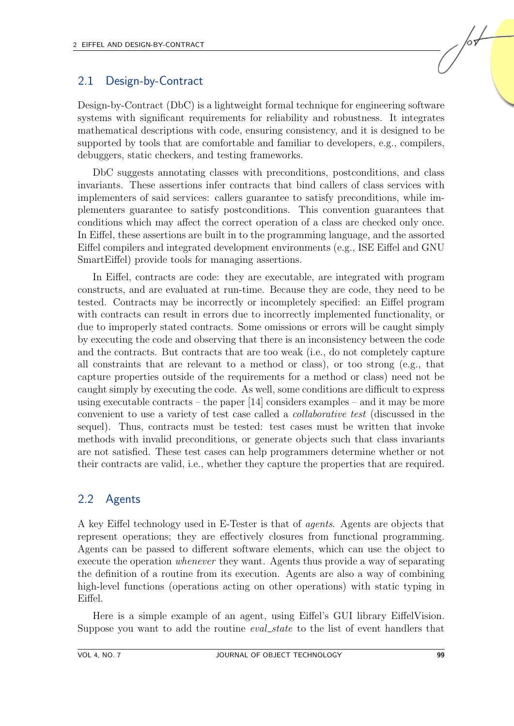#### 2.1 Design-by-Contract

Design-by-Contract (DbC) is a lightweight formal technique for engineering software systems with significant requirements for reliability and robustness. It integrates mathematical descriptions with code, ensuring consistency, and it is designed to be supported by tools that are comfortable and familiar to developers, e.g., compilers, debuggers, static checkers, and testing frameworks.

DbC suggests annotating classes with preconditions, postconditions, and class invariants. These assertions infer contracts that bind callers of class services with implementers of said services: callers guarantee to satisfy preconditions, while implementers guarantee to satisfy postconditions. This convention guarantees that conditions which may affect the correct operation of a class are checked only once. In Eiffel, these assertions are built in to the programming language, and the assorted Eiffel compilers and integrated development environments (e.g., ISE Eiffel and GNU SmartEiffel) provide tools for managing assertions.

In Eiffel, contracts are code: they are executable, are integrated with program constructs, and are evaluated at run-time. Because they are code, they need to be tested. Contracts may be incorrectly or incompletely specified: an Eiffel program with contracts can result in errors due to incorrectly implemented functionality, or due to improperly stated contracts. Some omissions or errors will be caught simply by executing the code and observing that there is an inconsistency between the code and the contracts. But contracts that are too weak (i.e., do not completely capture all constraints that are relevant to a method or class), or too strong (e.g., that capture properties outside of the requirements for a method or class) need not be caught simply by executing the code. As well, some conditions are difficult to express using executable contracts – the paper  $[14]$  considers examples – and it may be more convenient to use a variety of test case called a collaborative test (discussed in the sequel). Thus, contracts must be tested: test cases must be written that invoke methods with invalid preconditions, or generate objects such that class invariants are not satisfied. These test cases can help programmers determine whether or not their contracts are valid, i.e., whether they capture the properties that are required.

## 2.2 Agents

A key Eiffel technology used in E-Tester is that of agents. Agents are objects that represent operations; they are effectively closures from functional programming. Agents can be passed to different software elements, which can use the object to execute the operation whenever they want. Agents thus provide a way of separating the definition of a routine from its execution. Agents are also a way of combining high-level functions (operations acting on other operations) with static typing in Eiffel.

Here is a simple example of an agent, using Eiffel's GUI library EiffelVision. Suppose you want to add the routine *eval\_state* to the list of event handlers that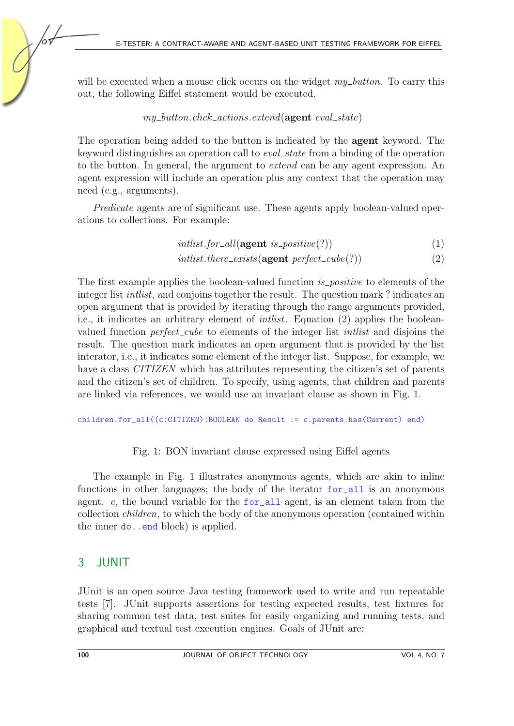will be executed when a mouse click occurs on the widget  $my\_button$ . To carry this out, the following Eiffel statement would be executed.

#### $my\_button.click\_actions. extend(\textbf{agent } eval\_state)$

The operation being added to the button is indicated by the agent keyword. The keyword distinguishes an operation call to *eval\_state* from a binding of the operation to the button. In general, the argument to extend can be any agent expression. An agent expression will include an operation plus any context that the operation may need (e.g., arguments).

Predicate agents are of significant use. These agents apply boolean-valued operations to collections. For example:

 $intlist.for\_all(\text{agent }is\_positive(?)$  (1)

intlist.there\_exists( $\text{agent perfect\_cube}(?)$ ) (2)

The first example applies the boolean-valued function *is positive* to elements of the integer list intlist, and conjoins together the result. The question mark ? indicates an open argument that is provided by iterating through the range arguments provided, i.e., it indicates an arbitrary element of intlist. Equation (2) applies the booleanvalued function *perfect\_cube* to elements of the integer list *intlist* and disjoins the result. The question mark indicates an open argument that is provided by the list interator, i.e., it indicates some element of the integer list. Suppose, for example, we have a class *CITIZEN* which has attributes representing the citizen's set of parents and the citizen's set of children. To specify, using agents, that children and parents are linked via references, we would use an invariant clause as shown in Fig. [1.](#page-3-0)

children.for\_all((c:CITIZEN):BOOLEAN do Result := c.parents.has(Current) end)

#### <span id="page-3-0"></span>Fig. 1: BON invariant clause expressed using Eiffel agents

The example in Fig. [1](#page-3-0) illustrates anonymous agents, which are akin to inline functions in other languages; the body of the iterator for\_all is an anonymous agent. c, the bound variable for the  $f$ or all agent, is an element taken from the collection children, to which the body of the anonymous operation (contained within the inner do..end block) is applied.

# 3 JUNIT

JUnit is an open source Java testing framework used to write and run repeatable tests [\[7\]](#page-16-1). JUnit supports assertions for testing expected results, test fixtures for sharing common test data, test suites for easily organizing and running tests, and graphical and textual test execution engines. Goals of JUnit are: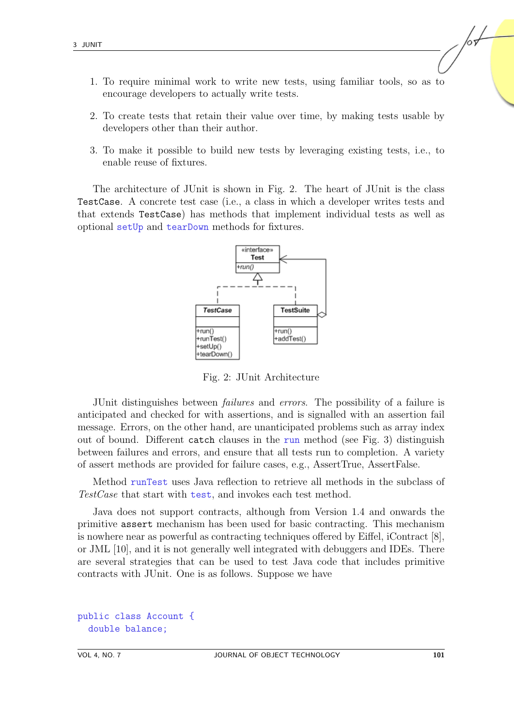- 1. To require minimal work to write new tests, using familiar tools, so as to encourage developers to actually write tests.
- 2. To create tests that retain their value over time, by making tests usable by developers other than their author.
- 3. To make it possible to build new tests by leveraging existing tests, i.e., to enable reuse of fixtures.

The architecture of JUnit is shown in Fig. [2.](#page-4-0) The heart of JUnit is the class TestCase. A concrete test case (i.e., a class in which a developer writes tests and that extends TestCase) has methods that implement individual tests as well as optional setUp and tearDown methods for fixtures.



<span id="page-4-0"></span>Fig. 2: JUnit Architecture

JUnit distinguishes between failures and errors. The possibility of a failure is anticipated and checked for with assertions, and is signalled with an assertion fail message. Errors, on the other hand, are unanticipated problems such as array index out of bound. Different catch clauses in the run method (see Fig. [3\)](#page-5-0) distinguish between failures and errors, and ensure that all tests run to completion. A variety of assert methods are provided for failure cases, e.g., AssertTrue, AssertFalse.

Method runTest uses Java reflection to retrieve all methods in the subclass of TestCase that start with test, and invokes each test method.

Java does not support contracts, although from Version 1.4 and onwards the primitive assert mechanism has been used for basic contracting. This mechanism is nowhere near as powerful as contracting techniques offered by Eiffel, iContract [\[8\]](#page-16-3), or JML [\[10\]](#page-16-4), and it is not generally well integrated with debuggers and IDEs. There are several strategies that can be used to test Java code that includes primitive contracts with JUnit. One is as follows. Suppose we have

```
public class Account {
  double balance;
```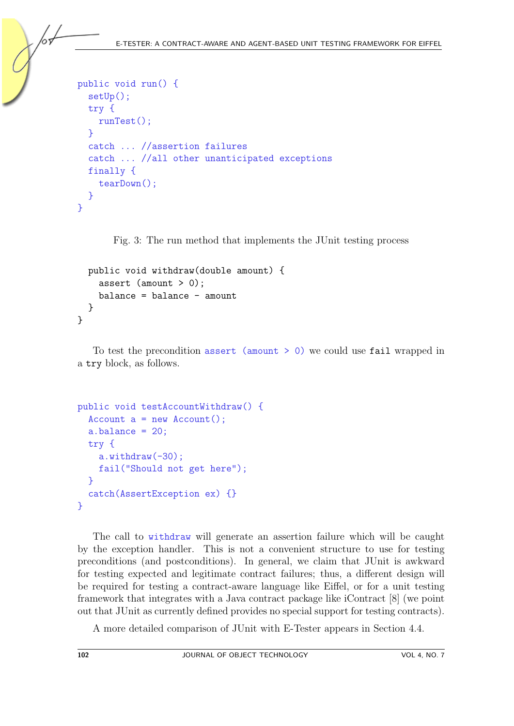```
public void run() {
  setUp();
  try {
    runTest();
  }
  catch ... //assertion failures
  catch ... //all other unanticipated exceptions
  finally {
    tearDown();
  }
}
```
<span id="page-5-0"></span>Fig. 3: The run method that implements the JUnit testing process

```
public void withdraw(double amount) {
    assert (amount > 0);
    balance = balance - amount
  }
}
```
To test the precondition assert (amount > 0) we could use fail wrapped in a try block, as follows.

```
public void testAccountWithdraw() {
  Account a = new Account();
  a.balance = 20;
  try {
    a.withdraw(-30);
    fail("Should not get here");
  }
  catch(AssertException ex) {}
}
```
The call to withdraw will generate an assertion failure which will be caught by the exception handler. This is not a convenient structure to use for testing preconditions (and postconditions). In general, we claim that JUnit is awkward for testing expected and legitimate contract failures; thus, a different design will be required for testing a contract-aware language like Eiffel, or for a unit testing framework that integrates with a Java contract package like iContract [\[8\]](#page-16-3) (we point out that JUnit as currently defined provides no special support for testing contracts).

A more detailed comparison of JUnit with E-Tester appears in Section 4.4.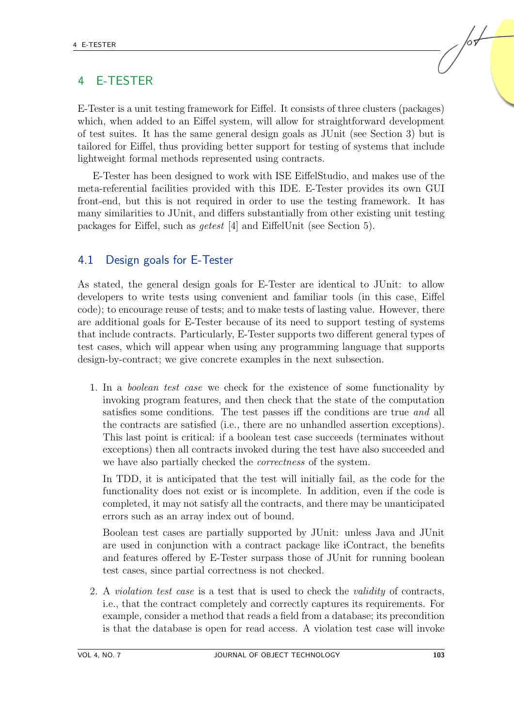## 4 E-TESTER

E-Tester is a unit testing framework for Eiffel. It consists of three clusters (packages) which, when added to an Eiffel system, will allow for straightforward development of test suites. It has the same general design goals as JUnit (see Section 3) but is tailored for Eiffel, thus providing better support for testing of systems that include lightweight formal methods represented using contracts.

E-Tester has been designed to work with ISE EiffelStudio, and makes use of the meta-referential facilities provided with this IDE. E-Tester provides its own GUI front-end, but this is not required in order to use the testing framework. It has many similarities to JUnit, and differs substantially from other existing unit testing packages for Eiffel, such as getest [\[4\]](#page-15-2) and EiffelUnit (see Section 5).

#### 4.1 Design goals for E-Tester

As stated, the general design goals for E-Tester are identical to JUnit: to allow developers to write tests using convenient and familiar tools (in this case, Eiffel code); to encourage reuse of tests; and to make tests of lasting value. However, there are additional goals for E-Tester because of its need to support testing of systems that include contracts. Particularly, E-Tester supports two different general types of test cases, which will appear when using any programming language that supports design-by-contract; we give concrete examples in the next subsection.

1. In a boolean test case we check for the existence of some functionality by invoking program features, and then check that the state of the computation satisfies some conditions. The test passes iff the conditions are true and all the contracts are satisfied (i.e., there are no unhandled assertion exceptions). This last point is critical: if a boolean test case succeeds (terminates without exceptions) then all contracts invoked during the test have also succeeded and we have also partially checked the *correctness* of the system.

In TDD, it is anticipated that the test will initially fail, as the code for the functionality does not exist or is incomplete. In addition, even if the code is completed, it may not satisfy all the contracts, and there may be unanticipated errors such as an array index out of bound.

Boolean test cases are partially supported by JUnit: unless Java and JUnit are used in conjunction with a contract package like iContract, the benefits and features offered by E-Tester surpass those of JUnit for running boolean test cases, since partial correctness is not checked.

2. A violation test case is a test that is used to check the validity of contracts, i.e., that the contract completely and correctly captures its requirements. For example, consider a method that reads a field from a database; its precondition is that the database is open for read access. A violation test case will invoke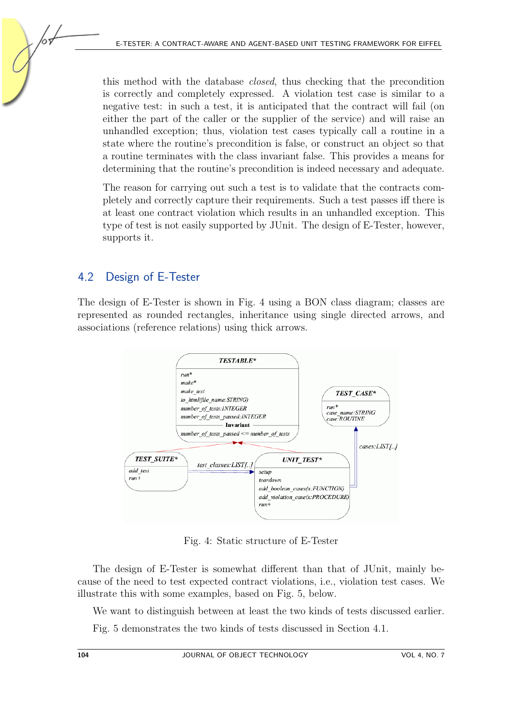this method with the database closed, thus checking that the precondition is correctly and completely expressed. A violation test case is similar to a negative test: in such a test, it is anticipated that the contract will fail (on either the part of the caller or the supplier of the service) and will raise an unhandled exception; thus, violation test cases typically call a routine in a state where the routine's precondition is false, or construct an object so that a routine terminates with the class invariant false. This provides a means for determining that the routine's precondition is indeed necessary and adequate.

The reason for carrying out such a test is to validate that the contracts completely and correctly capture their requirements. Such a test passes iff there is at least one contract violation which results in an unhandled exception. This type of test is not easily supported by JUnit. The design of E-Tester, however, supports it.

## 4.2 Design of E-Tester

The design of E-Tester is shown in Fig. [4](#page-7-0) using a BON class diagram; classes are represented as rounded rectangles, inheritance using single directed arrows, and associations (reference relations) using thick arrows.



<span id="page-7-0"></span>Fig. 4: Static structure of E-Tester

The design of E-Tester is somewhat different than that of JUnit, mainly because of the need to test expected contract violations, i.e., violation test cases. We illustrate this with some examples, based on Fig. [5,](#page-8-0) below.

We want to distinguish between at least the two kinds of tests discussed earlier. Fig. [5](#page-8-0) demonstrates the two kinds of tests discussed in Section 4.1.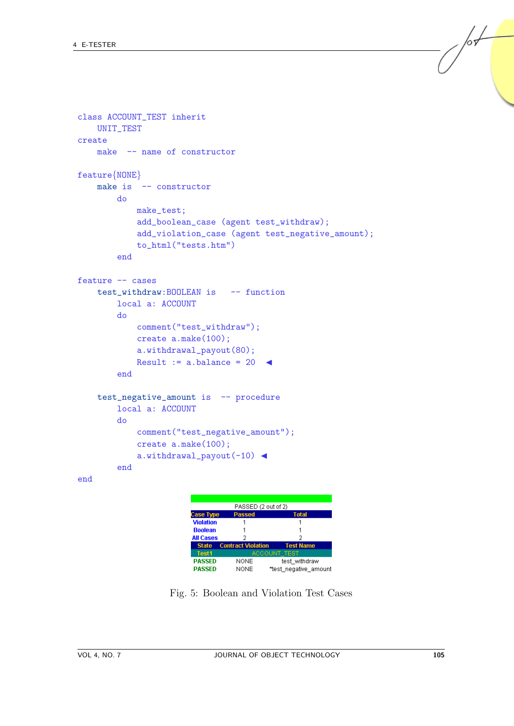```
class ACCOUNT_TEST inherit
    UNIT_TEST
create
    make -- name of constructor
feature{NONE}
    make is -- constructor
         do
             make_test;
              add_boolean_case (agent test_withdraw);
              add_violation_case (agent test_negative_amount);
              to_html("tests.htm")
         end
feature -- cases
    test_withdraw:BOOLEAN is -- function
         local a: ACCOUNT
         do
              comment("test_withdraw");
              create a.make(100);
              a.withdrawal_payout(80);
              Result := a.balance = 20 \triangleleftend
    test_negative_amount is -- procedure
         local a: ACCOUNT
         do
              comment("test_negative_amount");
              create a.make(100);
              a.withdrawal_payout(-10) \triangleleftend
end
                                    PASSED (2 out of 2)
                           Case Type
                                    Passed
                                                   Tota
                           Violation
                           Boolean
                           All Cases
                                       \overline{\phantom{a}}State
                                  ontract Molation
                            Test1
                           PASSED
                                     NONE
                                                test_withdraw
```
**NONE** \*test\_negative\_amount

Fig. 5: Boolean and Violation Test Cases

<span id="page-8-0"></span>**PASSED** 

/sf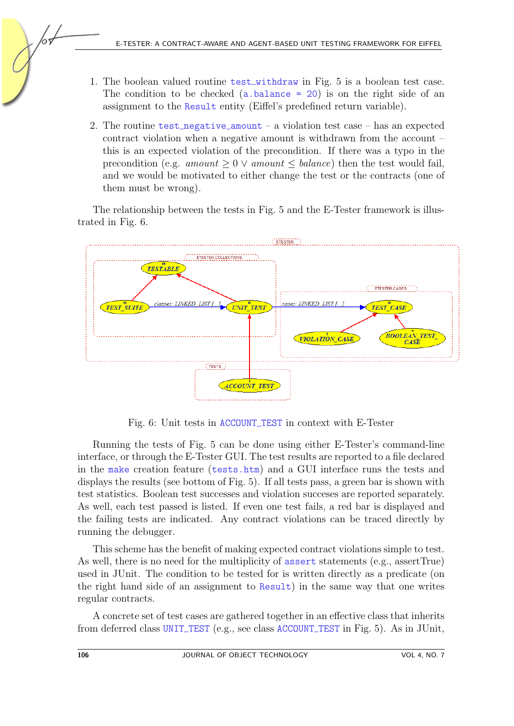- 1. The boolean valued routine test withdraw in Fig. [5](#page-8-0) is a boolean test case. The condition to be checked  $(a \cdot b = 20)$  is on the right side of an assignment to the Result entity (Eiffel's predefined return variable).
- 2. The routine test negative amount a violation test case has an expected contract violation when a negative amount is withdrawn from the account – this is an expected violation of the precondition. If there was a typo in the precondition (e.g. amount  $\geq 0$   $\vee$  amount  $\leq$  balance) then the test would fail, and we would be motivated to either change the test or the contracts (one of them must be wrong).

The relationship between the tests in Fig. [5](#page-8-0) and the E-Tester framework is illustrated in Fig. [6.](#page-9-0)



<span id="page-9-0"></span>Fig. 6: Unit tests in ACCOUNT TEST in context with E-Tester

Running the tests of Fig. [5](#page-8-0) can be done using either E-Tester's command-line interface, or through the E-Tester GUI. The test results are reported to a file declared in the make creation feature (tests.htm) and a GUI interface runs the tests and displays the results (see bottom of Fig. [5\)](#page-8-0). If all tests pass, a green bar is shown with test statistics. Boolean test successes and violation succeses are reported separately. As well, each test passed is listed. If even one test fails, a red bar is displayed and the failing tests are indicated. Any contract violations can be traced directly by running the debugger.

This scheme has the benefit of making expected contract violations simple to test. As well, there is no need for the multiplicity of assert statements (e.g., assertTrue) used in JUnit. The condition to be tested for is written directly as a predicate (on the right hand side of an assignment to Result) in the same way that one writes regular contracts.

A concrete set of test cases are gathered together in an effective class that inherits from deferred class UNIT TEST (e.g., see class ACCOUNT TEST in Fig. [5\)](#page-8-0). As in JUnit,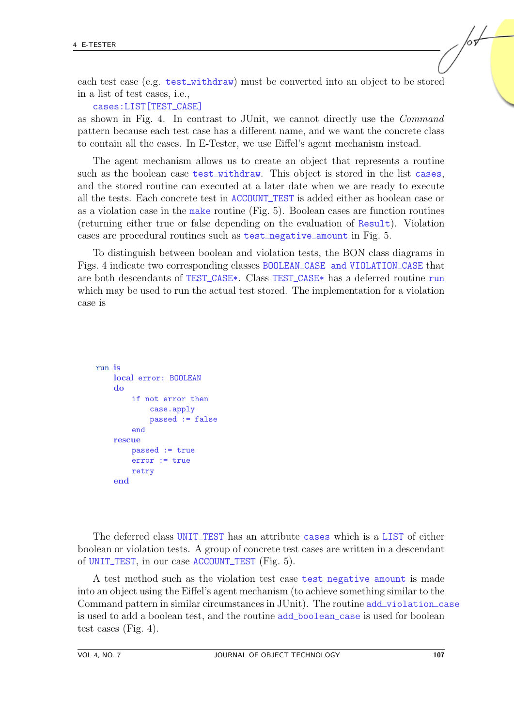each test case (e.g. test withdraw) must be converted into an object to be stored in a list of test cases, i.e.,

cases: LIST [TEST\_CASE]

as shown in Fig. [4.](#page-7-0) In contrast to JUnit, we cannot directly use the Command pattern because each test case has a different name, and we want the concrete class to contain all the cases. In E-Tester, we use Eiffel's agent mechanism instead.

The agent mechanism allows us to create an object that represents a routine such as the boolean case test withdraw. This object is stored in the list cases, and the stored routine can executed at a later date when we are ready to execute all the tests. Each concrete test in ACCOUNT TEST is added either as boolean case or as a violation case in the make routine (Fig. [5\)](#page-8-0). Boolean cases are function routines (returning either true or false depending on the evaluation of Result). Violation cases are procedural routines such as test negative amount in Fig. [5.](#page-8-0)

To distinguish between boolean and violation tests, the BON class diagrams in Figs. [4](#page-7-0) indicate two corresponding classes BOOLEAN CASE and VIOLATION CASE that are both descendants of TEST CASE\*. Class TEST CASE\* has a deferred routine run which may be used to run the actual test stored. The implementation for a violation case is

```
run is
    local error: BOOLEAN
    do
        if not error then
            case.apply
            passed := false
        end
    rescue
        passed := true
        error := true
        retry
    end
```
The deferred class UNIT TEST has an attribute cases which is a LIST of either boolean or violation tests. A group of concrete test cases are written in a descendant of UNIT TEST, in our case ACCOUNT TEST (Fig. [5\)](#page-8-0).

A test method such as the violation test case test\_negative\_amount is made into an object using the Eiffel's agent mechanism (to achieve something similar to the Command pattern in similar circumstances in JUnit). The routine add violation case is used to add a boolean test, and the routine add boolean case is used for boolean test cases (Fig. [4\)](#page-7-0).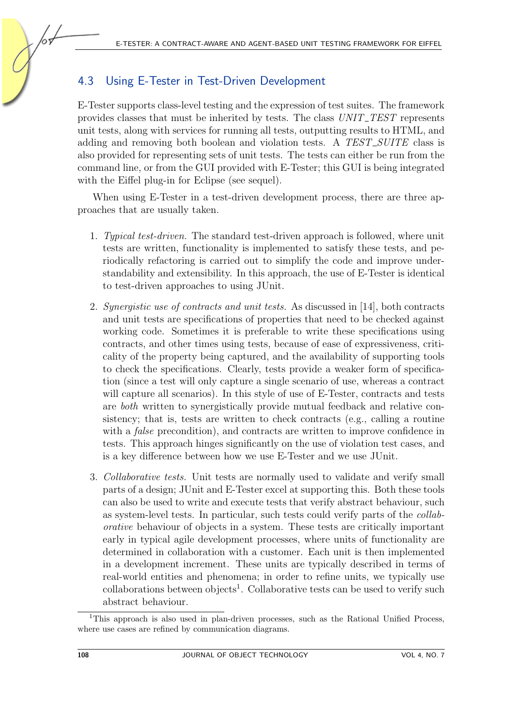## 4.3 Using E-Tester in Test-Driven Development

E-Tester supports class-level testing and the expression of test suites. The framework provides classes that must be inherited by tests. The class UNIT\_TEST represents unit tests, along with services for running all tests, outputting results to HTML, and adding and removing both boolean and violation tests. A TEST\_SUITE class is also provided for representing sets of unit tests. The tests can either be run from the command line, or from the GUI provided with E-Tester; this GUI is being integrated with the Eiffel plug-in for Eclipse (see sequel).

When using E-Tester in a test-driven development process, there are three approaches that are usually taken.

- 1. Typical test-driven. The standard test-driven approach is followed, where unit tests are written, functionality is implemented to satisfy these tests, and periodically refactoring is carried out to simplify the code and improve understandability and extensibility. In this approach, the use of E-Tester is identical to test-driven approaches to using JUnit.
- 2. Synergistic use of contracts and unit tests. As discussed in [\[14\]](#page-16-7), both contracts and unit tests are specifications of properties that need to be checked against working code. Sometimes it is preferable to write these specifications using contracts, and other times using tests, because of ease of expressiveness, criticality of the property being captured, and the availability of supporting tools to check the specifications. Clearly, tests provide a weaker form of specification (since a test will only capture a single scenario of use, whereas a contract will capture all scenarios). In this style of use of E-Tester, contracts and tests are both written to synergistically provide mutual feedback and relative consistency; that is, tests are written to check contracts (e.g., calling a routine with a *false* precondition), and contracts are written to improve confidence in tests. This approach hinges significantly on the use of violation test cases, and is a key difference between how we use E-Tester and we use JUnit.
- 3. Collaborative tests. Unit tests are normally used to validate and verify small parts of a design; JUnit and E-Tester excel at supporting this. Both these tools can also be used to write and execute tests that verify abstract behaviour, such as system-level tests. In particular, such tests could verify parts of the collaborative behaviour of objects in a system. These tests are critically important early in typical agile development processes, where units of functionality are determined in collaboration with a customer. Each unit is then implemented in a development increment. These units are typically described in terms of real-world entities and phenomena; in order to refine units, we typically use collaborations between objects<sup>[1](#page-11-0)</sup>. Collaborative tests can be used to verify such abstract behaviour.

<span id="page-11-0"></span><sup>&</sup>lt;sup>1</sup>This approach is also used in plan-driven processes, such as the Rational Unified Process, where use cases are refined by communication diagrams.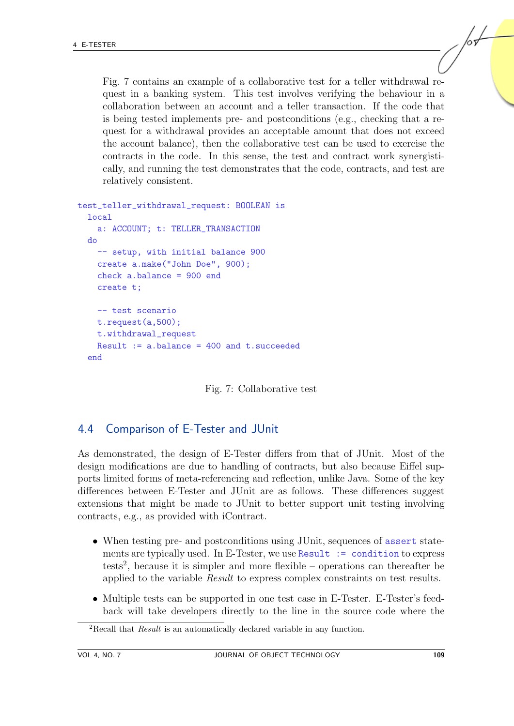Fig. [7](#page-12-0) contains an example of a collaborative test for a teller withdrawal request in a banking system. This test involves verifying the behaviour in a collaboration between an account and a teller transaction. If the code that is being tested implements pre- and postconditions (e.g., checking that a request for a withdrawal provides an acceptable amount that does not exceed the account balance), then the collaborative test can be used to exercise the contracts in the code. In this sense, the test and contract work synergistically, and running the test demonstrates that the code, contracts, and test are relatively consistent.

```
test_teller_withdrawal_request: BOOLEAN is
  local
    a: ACCOUNT; t: TELLER_TRANSACTION
  do
    -- setup, with initial balance 900
    create a.make("John Doe", 900);
    check a.balance = 900 end
    create t;
    -- test scenario
    t.request(a,500);
    t.withdrawal_request
    Result := a.balance = 400 and t.succeededend
```
<span id="page-12-0"></span>

#### 4.4 Comparison of E-Tester and JUnit

As demonstrated, the design of E-Tester differs from that of JUnit. Most of the design modifications are due to handling of contracts, but also because Eiffel supports limited forms of meta-referencing and reflection, unlike Java. Some of the key differences between E-Tester and JUnit are as follows. These differences suggest extensions that might be made to JUnit to better support unit testing involving contracts, e.g., as provided with iContract.

- When testing pre- and postconditions using JUnit, sequences of assert statements are typically used. In E-Tester, we use Result := condition to express tests<sup>[2](#page-12-1)</sup>, because it is simpler and more flexible – operations can thereafter be applied to the variable Result to express complex constraints on test results.
- Multiple tests can be supported in one test case in E-Tester. E-Tester's feedback will take developers directly to the line in the source code where the

<span id="page-12-1"></span><sup>&</sup>lt;sup>2</sup>Recall that *Result* is an automatically declared variable in any function.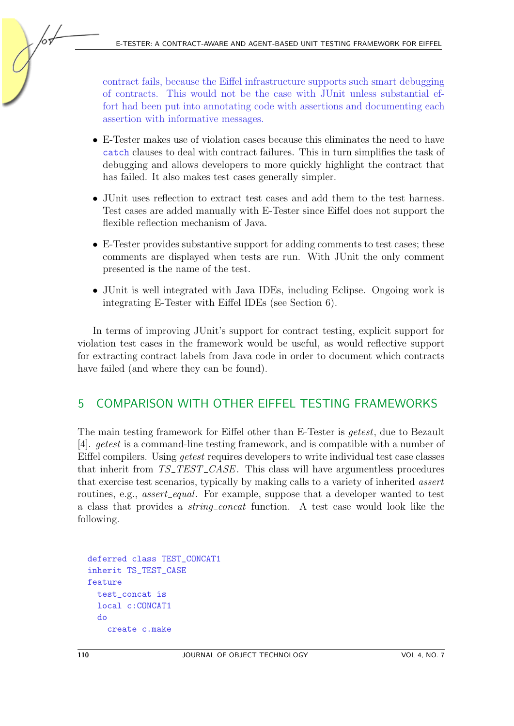contract fails, because the Eiffel infrastructure supports such smart debugging of contracts. This would not be the case with JUnit unless substantial effort had been put into annotating code with assertions and documenting each assertion with informative messages.

- E-Tester makes use of violation cases because this eliminates the need to have catch clauses to deal with contract failures. This in turn simplifies the task of debugging and allows developers to more quickly highlight the contract that has failed. It also makes test cases generally simpler.
- JUnit uses reflection to extract test cases and add them to the test harness. Test cases are added manually with E-Tester since Eiffel does not support the flexible reflection mechanism of Java.
- E-Tester provides substantive support for adding comments to test cases; these comments are displayed when tests are run. With JUnit the only comment presented is the name of the test.
- JUnit is well integrated with Java IDEs, including Eclipse. Ongoing work is integrating E-Tester with Eiffel IDEs (see Section 6).

In terms of improving JUnit's support for contract testing, explicit support for violation test cases in the framework would be useful, as would reflective support for extracting contract labels from Java code in order to document which contracts have failed (and where they can be found).

# 5 COMPARISON WITH OTHER EIFFEL TESTING FRAMEWORKS

The main testing framework for Eiffel other than E-Tester is getest, due to Bezault [\[4\]](#page-15-2). getest is a command-line testing framework, and is compatible with a number of Eiffel compilers. Using getest requires developers to write individual test case classes that inherit from  $TS\_TEST\_CASE$ . This class will have argumentless procedures that exercise test scenarios, typically by making calls to a variety of inherited assert routines, e.g., *assert\_equal.* For example, suppose that a developer wanted to test a class that provides a string concat function. A test case would look like the following.

```
deferred class TEST_CONCAT1
inherit TS_TEST_CASE
feature
  test_concat is
  local c:CONCAT1
  do
    create c.make
```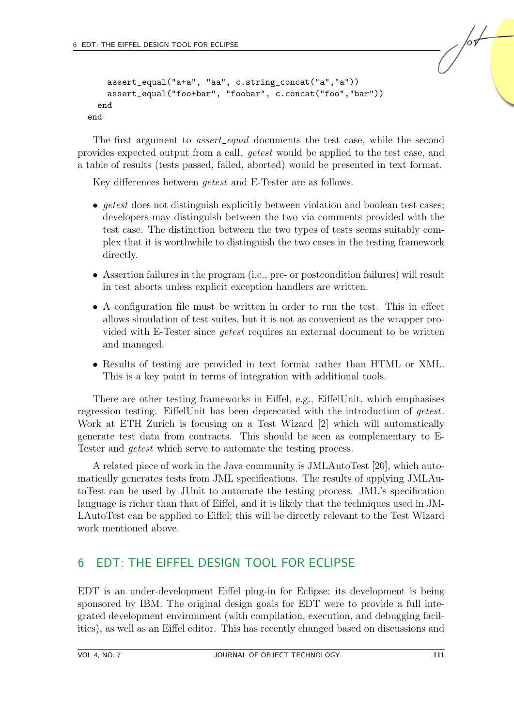```
assert_equal("a+a", "aa", c.string_concat("a","a"))
    assert_equal("foo+bar", "foobar", c.concat("foo","bar"))
  end
end
```
The first argument to *assert equal* documents the test case, while the second provides expected output from a call. getest would be applied to the test case, and a table of results (tests passed, failed, aborted) would be presented in text format.

Key differences between getest and E-Tester are as follows.

- *getest* does not distinguish explicitly between violation and boolean test cases; developers may distinguish between the two via comments provided with the test case. The distinction between the two types of tests seems suitably complex that it is worthwhile to distinguish the two cases in the testing framework directly.
- Assertion failures in the program (i.e., pre- or postcondition failures) will result in test aborts unless explicit exception handlers are written.
- A configuration file must be written in order to run the test. This in effect allows simulation of test suites, but it is not as convenient as the wrapper provided with E-Tester since getest requires an external document to be written and managed.
- Results of testing are provided in text format rather than HTML or XML. This is a key point in terms of integration with additional tools.

There are other testing frameworks in Eiffel, e.g., EiffelUnit, which emphasises regression testing. EiffelUnit has been deprecated with the introduction of getest. Work at ETH Zurich is focusing on a Test Wizard [\[2\]](#page-15-1) which will automatically generate test data from contracts. This should be seen as complementary to E-Tester and getest which serve to automate the testing process.

A related piece of work in the Java community is JMLAutoTest [\[20\]](#page-16-8), which automatically generates tests from JML specifications. The results of applying JMLAutoTest can be used by JUnit to automate the testing process. JML's specification language is richer than that of Eiffel, and it is likely that the techniques used in JM-LAutoTest can be applied to Eiffel; this will be directly relevant to the Test Wizard work mentioned above.

## 6 EDT: THE EIFFEL DESIGN TOOL FOR ECLIPSE

EDT is an under-development Eiffel plug-in for Eclipse; its development is being sponsored by IBM. The original design goals for EDT were to provide a full integrated development environment (with compilation, execution, and debugging facilities), as well as an Eiffel editor. This has recently changed based on discussions and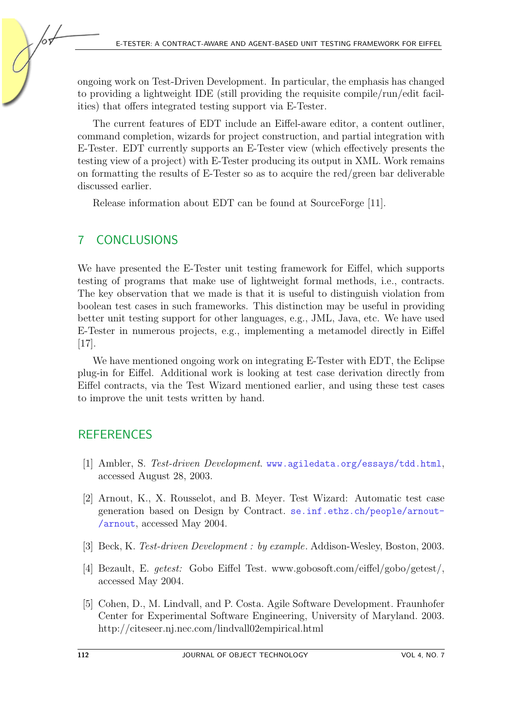ongoing work on Test-Driven Development. In particular, the emphasis has changed to providing a lightweight IDE (still providing the requisite compile/run/edit facilities) that offers integrated testing support via E-Tester.

The current features of EDT include an Eiffel-aware editor, a content outliner, command completion, wizards for project construction, and partial integration with E-Tester. EDT currently supports an E-Tester view (which effectively presents the testing view of a project) with E-Tester producing its output in XML. Work remains on formatting the results of E-Tester so as to acquire the red/green bar deliverable discussed earlier.

Release information about EDT can be found at SourceForge [\[11\]](#page-16-9).

# 7 CONCLUSIONS

We have presented the E-Tester unit testing framework for Eiffel, which supports testing of programs that make use of lightweight formal methods, i.e., contracts. The key observation that we made is that it is useful to distinguish violation from boolean test cases in such frameworks. This distinction may be useful in providing better unit testing support for other languages, e.g., JML, Java, etc. We have used E-Tester in numerous projects, e.g., implementing a metamodel directly in Eiffel [\[17\]](#page-16-10).

We have mentioned ongoing work on integrating E-Tester with EDT, the Eclipse plug-in for Eiffel. Additional work is looking at test case derivation directly from Eiffel contracts, via the Test Wizard mentioned earlier, and using these test cases to improve the unit tests written by hand.

# **REFERENCES**

- [1] Ambler, S. Test-driven Development. www.agiledata.org/essays/tdd.html, accessed August 28, 2003.
- <span id="page-15-1"></span>[2] Arnout, K., X. Rousselot, and B. Meyer. Test Wizard: Automatic test case generation based on Design by Contract. se.inf.ethz.ch/people/arnout- /arnout, accessed May 2004.
- <span id="page-15-0"></span>[3] Beck, K. Test-driven Development : by example. Addison-Wesley, Boston, 2003.
- <span id="page-15-2"></span>[4] Bezault, E. getest: Gobo Eiffel Test. www.gobosoft.com/eiffel/gobo/getest/, accessed May 2004.
- [5] Cohen, D., M. Lindvall, and P. Costa. Agile Software Development. Fraunhofer Center for Experimental Software Engineering, University of Maryland. 2003. http://citeseer.nj.nec.com/lindvall02empirical.html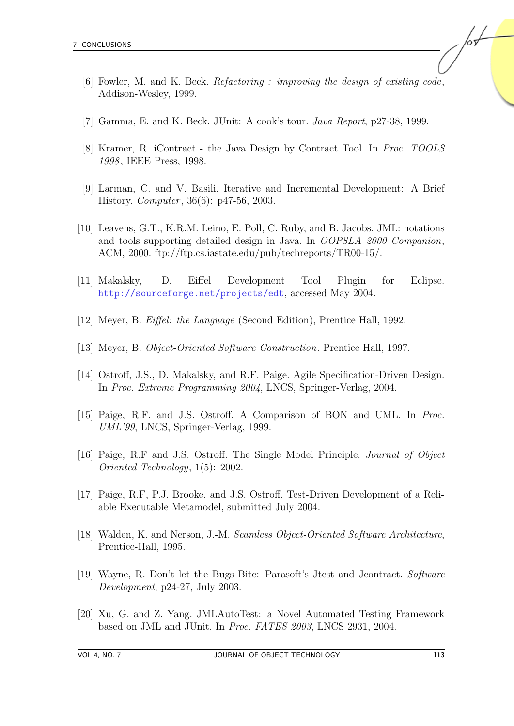- [6] Fowler, M. and K. Beck. Refactoring : improving the design of existing code, Addison-Wesley, 1999.
- <span id="page-16-1"></span>[7] Gamma, E. and K. Beck. JUnit: A cook's tour. Java Report, p27-38, 1999.
- <span id="page-16-3"></span>[8] Kramer, R. iContract - the Java Design by Contract Tool. In Proc. TOOLS 1998 , IEEE Press, 1998.
- <span id="page-16-0"></span>[9] Larman, C. and V. Basili. Iterative and Incremental Development: A Brief History. *Computer*, 36(6): p47-56, 2003.
- <span id="page-16-4"></span>[10] Leavens, G.T., K.R.M. Leino, E. Poll, C. Ruby, and B. Jacobs. JML: notations and tools supporting detailed design in Java. In OOPSLA 2000 Companion, ACM, 2000. ftp://ftp.cs.iastate.edu/pub/techreports/TR00-15/.
- <span id="page-16-9"></span>[11] Makalsky, D. Eiffel Development Tool Plugin for Eclipse. http://sourceforge.net/projects/edt, accessed May 2004.
- <span id="page-16-2"></span>[12] Meyer, B. Eiffel: the Language (Second Edition), Prentice Hall, 1992.
- [13] Meyer, B. Object-Oriented Software Construction. Prentice Hall, 1997.
- <span id="page-16-7"></span>[14] Ostroff, J.S., D. Makalsky, and R.F. Paige. Agile Specification-Driven Design. In Proc. Extreme Programming 2004, LNCS, Springer-Verlag, 2004.
- <span id="page-16-6"></span>[15] Paige, R.F. and J.S. Ostroff. A Comparison of BON and UML. In *Proc.* UML'99, LNCS, Springer-Verlag, 1999.
- [16] Paige, R.F and J.S. Ostroff. The Single Model Principle. Journal of Object Oriented Technology, 1(5): 2002.
- <span id="page-16-10"></span>[17] Paige, R.F, P.J. Brooke, and J.S. Ostroff. Test-Driven Development of a Reliable Executable Metamodel, submitted July 2004.
- <span id="page-16-5"></span>[18] Walden, K. and Nerson, J.-M. Seamless Object-Oriented Software Architecture, Prentice-Hall, 1995.
- [19] Wayne, R. Don't let the Bugs Bite: Parasoft's Jtest and Jcontract. Software Development, p24-27, July 2003.
- <span id="page-16-8"></span>[20] Xu, G. and Z. Yang. JMLAutoTest: a Novel Automated Testing Framework based on JML and JUnit. In Proc. FATES 2003, LNCS 2931, 2004.